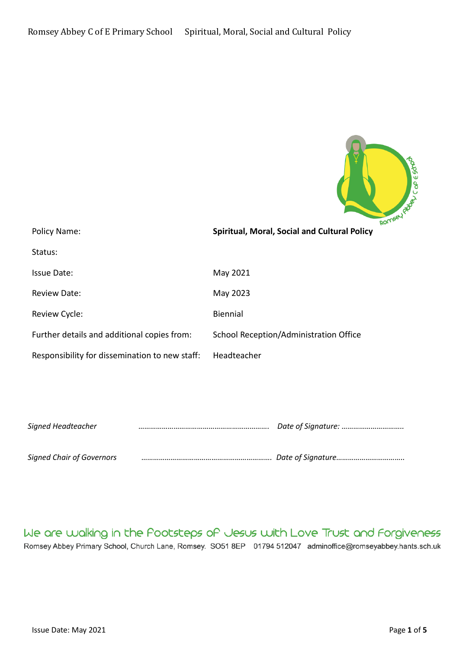

| Policy Name:                                   | Spiritual, Moral, Social and Cultural Policy |
|------------------------------------------------|----------------------------------------------|
| Status:                                        |                                              |
| Issue Date:                                    | May 2021                                     |
| <b>Review Date:</b>                            | May 2023                                     |
| Review Cycle:                                  | <b>Biennial</b>                              |
| Further details and additional copies from:    | School Reception/Administration Office       |
| Responsibility for dissemination to new staff: | Headteacher                                  |
|                                                |                                              |

| Signed Headteacher               |  |
|----------------------------------|--|
|                                  |  |
| <b>Signed Chair of Governors</b> |  |

We are walking in the Pootsteps of Jesus with Love Trust and Forgiveness Romsey Abbey Primary School, Church Lane, Romsey. SO51 8EP 01794 512047 adminoffice@romseyabbey.hants.sch.uk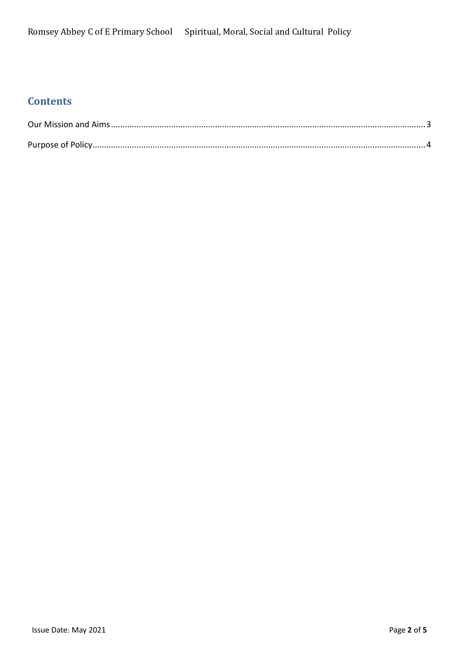# **Contents**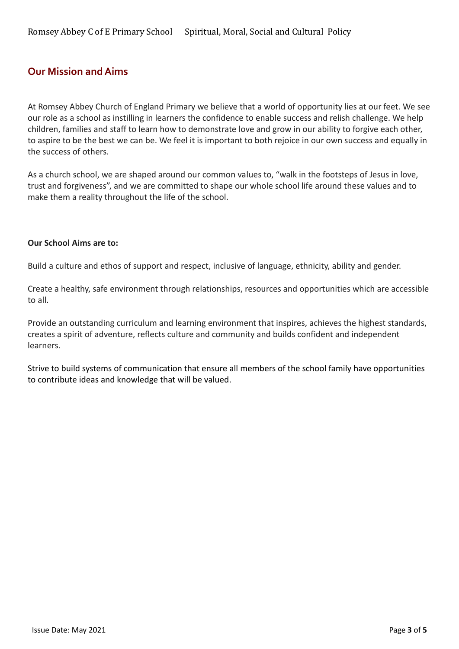### <span id="page-2-0"></span>**Our Mission and Aims**

At Romsey Abbey Church of England Primary we believe that a world of opportunity lies at our feet. We see our role as a school as instilling in learners the confidence to enable success and relish challenge. We help children, families and staff to learn how to demonstrate love and grow in our ability to forgive each other, to aspire to be the best we can be. We feel it is important to both rejoice in our own success and equally in the success of others.

As a church school, we are shaped around our common values to, "walk in the footsteps of Jesus in love, trust and forgiveness", and we are committed to shape our whole school life around these values and to make them a reality throughout the life of the school.

#### **Our School Aims are to:**

Build a culture and ethos of support and respect, inclusive of language, ethnicity, ability and gender.

Create a healthy, safe environment through relationships, resources and opportunities which are accessible to all.

Provide an outstanding curriculum and learning environment that inspires, achieves the highest standards, creates a spirit of adventure, reflects culture and community and builds confident and independent learners.

Strive to build systems of communication that ensure all members of the school family have opportunities to contribute ideas and knowledge that will be valued.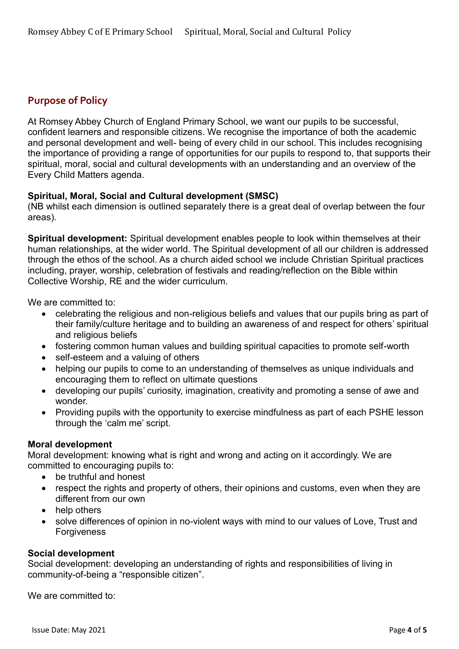## <span id="page-3-0"></span>**Purpose of Policy**

At Romsey Abbey Church of England Primary School, we want our pupils to be successful, confident learners and responsible citizens. We recognise the importance of both the academic and personal development and well- being of every child in our school. This includes recognising the importance of providing a range of opportunities for our pupils to respond to, that supports their spiritual, moral, social and cultural developments with an understanding and an overview of the Every Child Matters agenda.

#### **Spiritual, Moral, Social and Cultural development (SMSC)**

(NB whilst each dimension is outlined separately there is a great deal of overlap between the four areas).

**Spiritual development:** Spiritual development enables people to look within themselves at their human relationships, at the wider world. The Spiritual development of all our children is addressed through the ethos of the school. As a church aided school we include Christian Spiritual practices including, prayer, worship, celebration of festivals and reading/reflection on the Bible within Collective Worship, RE and the wider curriculum.

We are committed to:

- celebrating the religious and non-religious beliefs and values that our pupils bring as part of their family/culture heritage and to building an awareness of and respect for others' spiritual and religious beliefs
- fostering common human values and building spiritual capacities to promote self-worth
- self-esteem and a valuing of others
- helping our pupils to come to an understanding of themselves as unique individuals and encouraging them to reflect on ultimate questions
- developing our pupils' curiosity, imagination, creativity and promoting a sense of awe and wonder.
- Providing pupils with the opportunity to exercise mindfulness as part of each PSHE lesson through the 'calm me' script.

#### **Moral development**

Moral development: knowing what is right and wrong and acting on it accordingly. We are committed to encouraging pupils to:

- be truthful and honest
- respect the rights and property of others, their opinions and customs, even when they are different from our own
- help others
- solve differences of opinion in no-violent ways with mind to our values of Love, Trust and Forgiveness

#### **Social development**

Social development: developing an understanding of rights and responsibilities of living in community-of-being a "responsible citizen".

We are committed to: